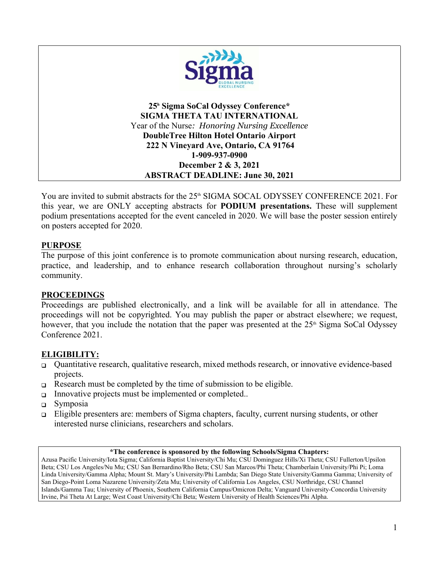

**25<sup>h</sup> Sigma SoCal Odyssey Conference\* SIGMA THETA TAU INTERNATIONAL** Year of the Nurse*: Honoring Nursing Excellence* **DoubleTree Hilton Hotel Ontario Airport 222 N Vineyard Ave, Ontario, CA 91764 1-909-937-0900 December 2 & 3, 2021 ABSTRACT DEADLINE: June 30, 2021**

You are invited to submit abstracts for the 25<sup>th</sup> SIGMA SOCAL ODYSSEY CONFERENCE 2021. For this year, we are ONLY accepting abstracts for **PODIUM presentations.** These will supplement podium presentations accepted for the event canceled in 2020. We will base the poster session entirely on posters accepted for 2020.

#### **PURPOSE**

The purpose of this joint conference is to promote communication about nursing research, education, practice, and leadership, and to enhance research collaboration throughout nursing's scholarly community.

#### **PROCEEDINGS**

Proceedings are published electronically, and a link will be available for all in attendance. The proceedings will not be copyrighted. You may publish the paper or abstract elsewhere; we request, however, that you include the notation that the paper was presented at the  $25<sup>th</sup>$  Sigma SoCal Odyssey Conference 2021.

### **ELIGIBILITY:**

- Quantitative research, qualitative research, mixed methods research, or innovative evidence-based projects.
- $\Box$  Research must be completed by the time of submission to be eligible.
- Innovative projects must be implemented or completed..
- $\Box$  Symposia
- □ Eligible presenters are: members of Sigma chapters, faculty, current nursing students, or other interested nurse clinicians, researchers and scholars.

#### **\*The conference is sponsored by the following Schools/Sigma Chapters:**

Azusa Pacific University/Iota Sigma; California Baptist University/Chi Mu; CSU Dominguez Hills/Xi Theta; CSU Fullerton/Upsilon Beta; CSU Los Angeles/Nu Mu; CSU San Bernardino/Rho Beta; CSU San Marcos/Phi Theta; Chamberlain University/Phi Pi; Loma Linda University/Gamma Alpha; Mount St. Mary's University/Phi Lambda; San Diego State University/Gamma Gamma; University of San Diego-Point Loma Nazarene University/Zeta Mu; University of California Los Angeles, CSU Northridge, CSU Channel Islands/Gamma Tau; University of Phoenix, Southern California Campus/Omicron Delta; Vanguard University-Concordia University Irvine, Psi Theta At Large; West Coast University/Chi Beta; Western University of Health Sciences/Phi Alpha.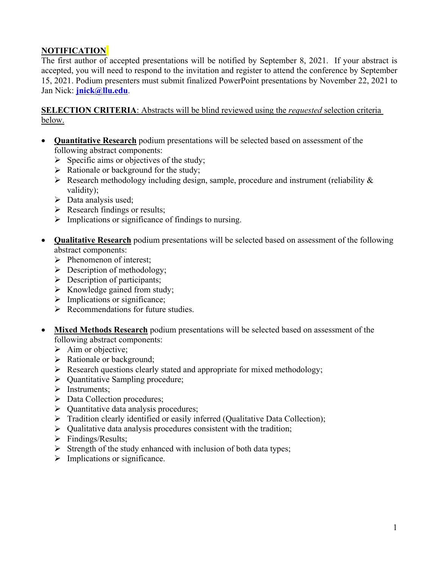# **NOTIFICATION**

The first author of accepted presentations will be notified by September 8, 2021. If your abstract is accepted, you will need to respond to the invitation and register to attend the conference by September 15, 2021. Podium presenters must submit finalized PowerPoint presentations by November 22, 2021 to Jan Nick: **[jnick@llu.edu](about:blank)**.

**SELECTION CRITERIA**: Abstracts will be blind reviewed using the *requested* selection criteria below.

- **Quantitative Research** podium presentations will be selected based on assessment of the following abstract components:
	- $\triangleright$  Specific aims or objectives of the study;
	- $\triangleright$  Rationale or background for the study;
	- $\triangleright$  Research methodology including design, sample, procedure and instrument (reliability  $\&$ validity);
	- $\triangleright$  Data analysis used;
	- $\triangleright$  Research findings or results;
	- $\triangleright$  Implications or significance of findings to nursing.
- **Qualitative Research** podium presentations will be selected based on assessment of the following abstract components:
	- $\triangleright$  Phenomenon of interest;
	- $\triangleright$  Description of methodology;
	- $\triangleright$  Description of participants;
	- $\triangleright$  Knowledge gained from study;
	- $\triangleright$  Implications or significance;
	- $\triangleright$  Recommendations for future studies.
- **Mixed Methods Research** podium presentations will be selected based on assessment of the following abstract components:
	- $\triangleright$  Aim or objective;
	- $\triangleright$  Rationale or background;
	- $\triangleright$  Research questions clearly stated and appropriate for mixed methodology;
	- $\triangleright$  Ouantitative Sampling procedure;
	- $\triangleright$  Instruments;
	- $\triangleright$  Data Collection procedures;
	- $\triangleright$  Quantitative data analysis procedures;
	- $\triangleright$  Tradition clearly identified or easily inferred (Qualitative Data Collection);
	- $\triangleright$  Qualitative data analysis procedures consistent with the tradition;
	- $\triangleright$  Findings/Results:
	- $\triangleright$  Strength of the study enhanced with inclusion of both data types;
	- $\triangleright$  Implications or significance.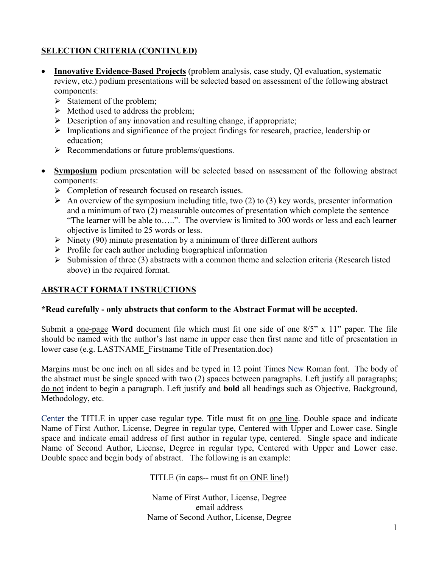## **SELECTION CRITERIA (CONTINUED)**

- **Innovative Evidence-Based Projects** (problem analysis, case study, QI evaluation, systematic review, etc.) podium presentations will be selected based on assessment of the following abstract components:
	- $\triangleright$  Statement of the problem;
	- $\triangleright$  Method used to address the problem;
	- $\triangleright$  Description of any innovation and resulting change, if appropriate;
	- $\triangleright$  Implications and significance of the project findings for research, practice, leadership or education;
	- $\triangleright$  Recommendations or future problems/questions.
- **Symposium** podium presentation will be selected based on assessment of the following abstract components:
	- $\triangleright$  Completion of research focused on research issues.
	- $\triangleright$  An overview of the symposium including title, two (2) to (3) key words, presenter information and a minimum of two (2) measurable outcomes of presentation which complete the sentence "The learner will be able to.....". The overview is limited to 300 words or less and each learner objective is limited to 25 words or less.
	- $\triangleright$  Ninety (90) minute presentation by a minimum of three different authors
	- $\triangleright$  Profile for each author including biographical information
	- $\triangleright$  Submission of three (3) abstracts with a common theme and selection criteria (Research listed above) in the required format.

### **ABSTRACT FORMAT INSTRUCTIONS**

### **\*Read carefully - only abstracts that conform to the Abstract Format will be accepted.**

Submit a one-page **Word** document file which must fit one side of one 8/5" x 11" paper. The file should be named with the author's last name in upper case then first name and title of presentation in lower case (e.g. LASTNAME\_Firstname Title of Presentation.doc)

Margins must be one inch on all sides and be typed in 12 point Times New Roman font. The body of the abstract must be single spaced with two (2) spaces between paragraphs. Left justify all paragraphs; do not indent to begin a paragraph. Left justify and **bold** all headings such as Objective, Background, Methodology, etc.

Center the TITLE in upper case regular type. Title must fit on one line. Double space and indicate Name of First Author, License, Degree in regular type, Centered with Upper and Lower case. Single space and indicate email address of first author in regular type, centered. Single space and indicate Name of Second Author, License, Degree in regular type, Centered with Upper and Lower case. Double space and begin body of abstract. The following is an example:

TITLE (in caps-- must fit on ONE line!)

Name of First Author, License, Degree email address Name of Second Author, License, Degree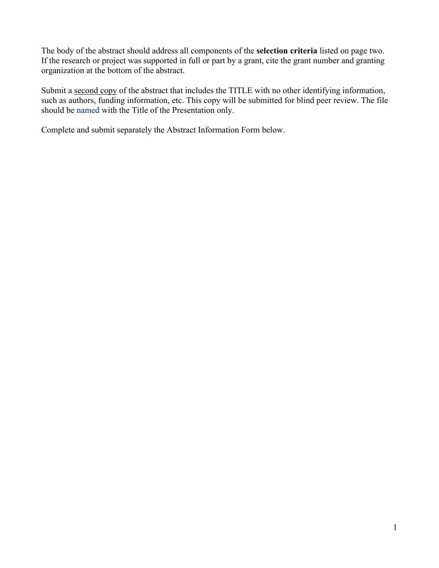The body of the abstract should address all components of the **selection criteria** listed on page two. If the research or project was supported in full or part by a grant, cite the grant number and granting organization at the bottom of the abstract.

Submit a second copy of the abstract that includes the TITLE with no other identifying information, such as authors, funding information, etc. This copy will be submitted for blind peer review. The file should be named with the Title of the Presentation only.

Complete and submit separately the Abstract Information Form below.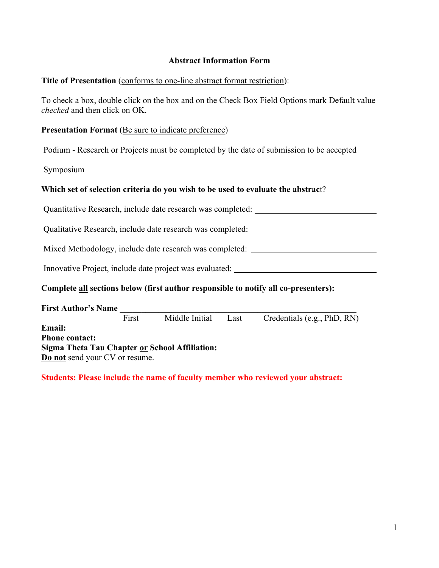#### **Abstract Information Form**

#### **Title of Presentation** (conforms to one-line abstract format restriction):

To check a box, double click on the box and on the Check Box Field Options mark Default value *checked* and then click on OK.

#### **Presentation Format** (Be sure to indicate preference)

Podium - Research or Projects must be completed by the date of submission to be accepted

Symposium

#### **Which set of selection criteria do you wish to be used to evaluate the abstrac**t?

Quantitative Research, include date research was completed:

Qualitative Research, include date research was completed:

Mixed Methodology, include date research was completed:

Innovative Project, include date project was evaluated:

#### **Complete all sections below (first author responsible to notify all co-presenters):**

| <b>First Author's Name</b>                                                              |       |                |      |                             |
|-----------------------------------------------------------------------------------------|-------|----------------|------|-----------------------------|
|                                                                                         | First | Middle Initial | Last | Credentials (e.g., PhD, RN) |
| <b>Email:</b>                                                                           |       |                |      |                             |
| <b>Phone contact:</b>                                                                   |       |                |      |                             |
| Sigma Theta Tau Chapter or School Affiliation:<br><b>Do not send your CV or resume.</b> |       |                |      |                             |
|                                                                                         |       |                |      |                             |

**Students: Please include the name of faculty member who reviewed your abstract:**